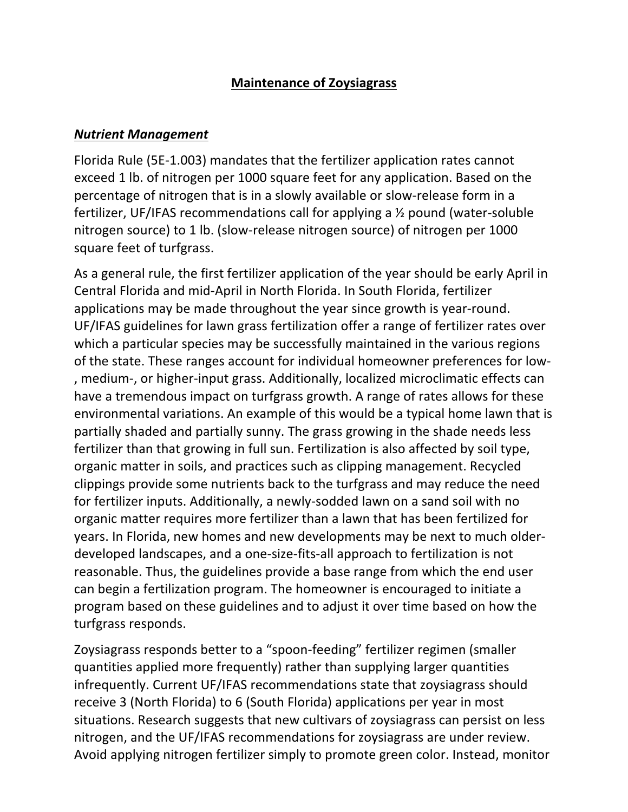#### **Maintenance of Zoysiagrass**

#### *Nutrient Management*

Florida Rule (5E-1.003) mandates that the fertilizer application rates cannot exceed 1 lb. of nitrogen per 1000 square feet for any application. Based on the percentage of nitrogen that is in a slowly available or slow-release form in a fertilizer, UF/IFAS recommendations call for applying a  $\frac{1}{2}$  pound (water-soluble nitrogen source) to 1 lb. (slow-release nitrogen source) of nitrogen per 1000 square feet of turfgrass.

As a general rule, the first fertilizer application of the year should be early April in Central Florida and mid-April in North Florida. In South Florida, fertilizer applications may be made throughout the year since growth is year-round. UF/IFAS guidelines for lawn grass fertilization offer a range of fertilizer rates over which a particular species may be successfully maintained in the various regions of the state. These ranges account for individual homeowner preferences for low-, medium-, or higher-input grass. Additionally, localized microclimatic effects can have a tremendous impact on turfgrass growth. A range of rates allows for these environmental variations. An example of this would be a typical home lawn that is partially shaded and partially sunny. The grass growing in the shade needs less fertilizer than that growing in full sun. Fertilization is also affected by soil type, organic matter in soils, and practices such as clipping management. Recycled clippings provide some nutrients back to the turfgrass and may reduce the need for fertilizer inputs. Additionally, a newly-sodded lawn on a sand soil with no organic matter requires more fertilizer than a lawn that has been fertilized for years. In Florida, new homes and new developments may be next to much olderdeveloped landscapes, and a one-size-fits-all approach to fertilization is not reasonable. Thus, the guidelines provide a base range from which the end user can begin a fertilization program. The homeowner is encouraged to initiate a program based on these guidelines and to adjust it over time based on how the turfgrass responds.

Zoysiagrass responds better to a "spoon-feeding" fertilizer regimen (smaller quantities applied more frequently) rather than supplying larger quantities infrequently. Current UF/IFAS recommendations state that zoysiagrass should receive 3 (North Florida) to 6 (South Florida) applications per year in most situations. Research suggests that new cultivars of zoysiagrass can persist on less nitrogen, and the UF/IFAS recommendations for zoysiagrass are under review. Avoid applying nitrogen fertilizer simply to promote green color. Instead, monitor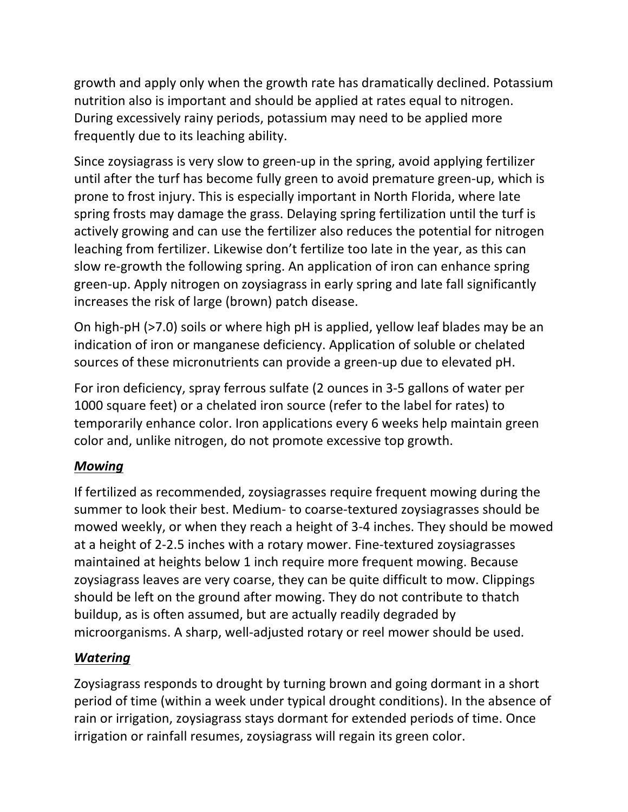growth and apply only when the growth rate has dramatically declined. Potassium nutrition also is important and should be applied at rates equal to nitrogen. During excessively rainy periods, potassium may need to be applied more frequently due to its leaching ability.

Since zoysiagrass is very slow to green-up in the spring, avoid applying fertilizer until after the turf has become fully green to avoid premature green-up, which is prone to frost injury. This is especially important in North Florida, where late spring frosts may damage the grass. Delaying spring fertilization until the turf is actively growing and can use the fertilizer also reduces the potential for nitrogen leaching from fertilizer. Likewise don't fertilize too late in the year, as this can slow re-growth the following spring. An application of iron can enhance spring green-up. Apply nitrogen on zoysiagrass in early spring and late fall significantly increases the risk of large (brown) patch disease.

On high-pH (>7.0) soils or where high pH is applied, yellow leaf blades may be an indication of iron or manganese deficiency. Application of soluble or chelated sources of these micronutrients can provide a green-up due to elevated pH.

For iron deficiency, spray ferrous sulfate (2 ounces in 3-5 gallons of water per 1000 square feet) or a chelated iron source (refer to the label for rates) to temporarily enhance color. Iron applications every 6 weeks help maintain green color and, unlike nitrogen, do not promote excessive top growth.

## *Mowing*

If fertilized as recommended, zoysiagrasses require frequent mowing during the summer to look their best. Medium- to coarse-textured zoysiagrasses should be mowed weekly, or when they reach a height of 3-4 inches. They should be mowed at a height of 2-2.5 inches with a rotary mower. Fine-textured zoysiagrasses maintained at heights below 1 inch require more frequent mowing. Because zoysiagrass leaves are very coarse, they can be quite difficult to mow. Clippings should be left on the ground after mowing. They do not contribute to thatch buildup, as is often assumed, but are actually readily degraded by microorganisms. A sharp, well-adjusted rotary or reel mower should be used.

# *Watering*

Zoysiagrass responds to drought by turning brown and going dormant in a short period of time (within a week under typical drought conditions). In the absence of rain or irrigation, zoysiagrass stays dormant for extended periods of time. Once irrigation or rainfall resumes, zoysiagrass will regain its green color.